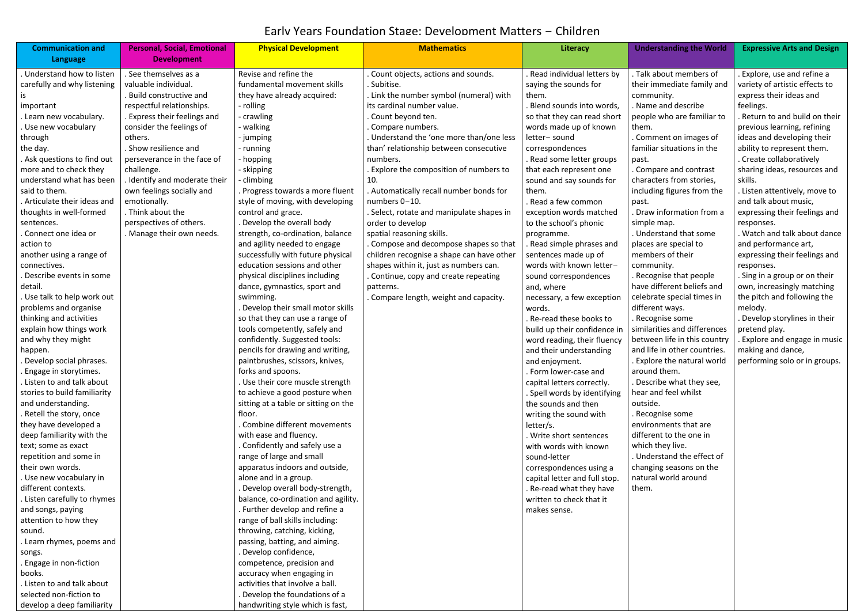| <b>Communication and</b>                   | <b>Personal, Social, Emotional</b> | <b>Physical Development</b>                                | <b>Mathematics</b>                                 | Literacy                                                 | <b>Understanding the World</b>                       | <b>Expressive Arts and Design</b>                    |
|--------------------------------------------|------------------------------------|------------------------------------------------------------|----------------------------------------------------|----------------------------------------------------------|------------------------------------------------------|------------------------------------------------------|
| Language                                   | <b>Development</b>                 |                                                            |                                                    |                                                          |                                                      |                                                      |
| Understand how to listen                   | . See themselves as a              | Revise and refine the                                      | Count objects, actions and sounds.                 | Read individual letters by                               | . Talk about members of                              | Explore, use and refine a                            |
| carefully and why listening                | valuable individual.               | fundamental movement skills                                | Subitise.                                          | saying the sounds for                                    | their immediate family and                           | variety of artistic effects to                       |
|                                            | Build constructive and             | they have already acquired:                                | Link the number symbol (numeral) with              | them.                                                    | community.                                           | express their ideas and                              |
| important                                  | respectful relationships.          | - rolling                                                  | its cardinal number value.                         | . Blend sounds into words,                               | . Name and describe                                  | feelings.                                            |
| . Learn new vocabulary.                    | . Express their feelings and       | - crawling                                                 | Count beyond ten.                                  | so that they can read short                              | people who are familiar to                           | Return to and build on their                         |
| Use new vocabulary                         | consider the feelings of           | walking                                                    | Compare numbers.                                   | words made up of known                                   | them.                                                | previous learning, refining                          |
| through                                    | others.<br>. Show resilience and   | - jumping                                                  | Understand the 'one more than/one less             | letter-sound                                             | . Comment on images of<br>familiar situations in the | ideas and developing their                           |
| the day.<br>Ask questions to find out      | perseverance in the face of        | - running                                                  | than' relationship between consecutive<br>numbers. | correspondences<br>. Read some letter groups             | past.                                                | ability to represent them.<br>Create collaboratively |
| more and to check they                     | challenge.                         | - hopping<br>- skipping                                    | Explore the composition of numbers to              | that each represent one                                  | Compare and contrast                                 | sharing ideas, resources and                         |
| understand what has been                   | . Identify and moderate their      | climbing                                                   | 10.                                                | sound and say sounds for                                 | characters from stories,                             | skills.                                              |
| said to them.                              | own feelings socially and          | Progress towards a more fluent                             | Automatically recall number bonds for              | them.                                                    | including figures from the                           | Listen attentively, move to                          |
| . Articulate their ideas and               | emotionally.                       | style of moving, with developing                           | numbers 0-10.                                      | . Read a few common                                      | past.                                                | and talk about music,                                |
| thoughts in well-formed                    | . Think about the                  | control and grace.                                         | Select, rotate and manipulate shapes in            | exception words matched                                  | . Draw information from a                            | expressing their feelings and                        |
| sentences.                                 | perspectives of others.            | Develop the overall body                                   | order to develop                                   | to the school's phonic                                   | simple map.                                          | responses.                                           |
| Connect one idea or                        | . Manage their own needs.          | strength, co-ordination, balance                           | spatial reasoning skills.                          | programme.                                               | . Understand that some                               | <b>Watch and talk about dance</b>                    |
| action to                                  |                                    | and agility needed to engage                               | Compose and decompose shapes so that               | Read simple phrases and                                  | places are special to                                | and performance art,                                 |
| another using a range of                   |                                    | successfully with future physical                          | children recognise a shape can have other          | sentences made up of                                     | members of their                                     | expressing their feelings and                        |
| connectives.                               |                                    | education sessions and other                               | shapes within it, just as numbers can.             | words with known letter-                                 | community.                                           | responses.                                           |
| Describe events in some                    |                                    | physical disciplines including                             | Continue, copy and create repeating                | sound correspondences                                    | Recognise that people                                | . Sing in a group or on their                        |
| detail.                                    |                                    | dance, gymnastics, sport and                               | patterns.                                          | and, where                                               | have different beliefs and                           | own, increasingly matching                           |
| . Use talk to help work out                |                                    | swimming.                                                  | Compare length, weight and capacity.               | necessary, a few exception                               | celebrate special times in                           | the pitch and following the                          |
| problems and organise                      |                                    | Develop their small motor skills                           |                                                    | words.                                                   | different ways.                                      | melody.                                              |
| thinking and activities                    |                                    | so that they can use a range of                            |                                                    | . Re-read these books to                                 | Recognise some                                       | Develop storylines in their                          |
| explain how things work                    |                                    | tools competently, safely and                              |                                                    | build up their confidence in                             | similarities and differences                         | pretend play.                                        |
| and why they might                         |                                    | confidently. Suggested tools:                              |                                                    | word reading, their fluency                              | between life in this country                         | Explore and engage in music                          |
| happen.                                    |                                    | pencils for drawing and writing,                           |                                                    | and their understanding                                  | and life in other countries.                         | making and dance,                                    |
| Develop social phrases.                    |                                    | paintbrushes, scissors, knives,                            |                                                    | and enjoyment.                                           | Explore the natural world                            | performing solo or in groups.                        |
| Engage in storytimes.                      |                                    | forks and spoons.                                          |                                                    | . Form lower-case and                                    | around them.                                         |                                                      |
| . Listen to and talk about                 |                                    | Use their core muscle strength                             |                                                    | capital letters correctly.                               | . Describe what they see,                            |                                                      |
| stories to build familiarity               |                                    | to achieve a good posture when                             |                                                    | . Spell words by identifying                             | hear and feel whilst                                 |                                                      |
| and understanding.                         |                                    | sitting at a table or sitting on the                       |                                                    | the sounds and then                                      | outside.                                             |                                                      |
| . Retell the story, once                   |                                    | floor.                                                     |                                                    | writing the sound with                                   | . Recognise some                                     |                                                      |
| they have developed a                      |                                    | Combine different movements                                |                                                    | letter/s.                                                | environments that are                                |                                                      |
| deep familiarity with the                  |                                    | with ease and fluency.                                     |                                                    | . Write short sentences                                  | different to the one in                              |                                                      |
| text; some as exact                        |                                    | Confidently and safely use a                               |                                                    | with words with known                                    | which they live.<br>. Understand the effect of       |                                                      |
| repetition and some in<br>their own words. |                                    | range of large and small<br>apparatus indoors and outside, |                                                    | sound-letter                                             | changing seasons on the                              |                                                      |
| . Use new vocabulary in                    |                                    | alone and in a group.                                      |                                                    | correspondences using a<br>capital letter and full stop. | natural world around                                 |                                                      |
| different contexts.                        |                                    | . Develop overall body-strength,                           |                                                    | . Re-read what they have                                 | them.                                                |                                                      |
| . Listen carefully to rhymes               |                                    | balance, co-ordination and agility.                        |                                                    | written to check that it                                 |                                                      |                                                      |
| and songs, paying                          |                                    | . Further develop and refine a                             |                                                    | makes sense.                                             |                                                      |                                                      |
| attention to how they                      |                                    | range of ball skills including:                            |                                                    |                                                          |                                                      |                                                      |
| sound.                                     |                                    | throwing, catching, kicking,                               |                                                    |                                                          |                                                      |                                                      |
| Learn rhymes, poems and                    |                                    | passing, batting, and aiming.                              |                                                    |                                                          |                                                      |                                                      |
| songs.                                     |                                    | Develop confidence,                                        |                                                    |                                                          |                                                      |                                                      |
| . Engage in non-fiction                    |                                    | competence, precision and                                  |                                                    |                                                          |                                                      |                                                      |
| books.                                     |                                    | accuracy when engaging in                                  |                                                    |                                                          |                                                      |                                                      |
| . Listen to and talk about                 |                                    | activities that involve a ball.                            |                                                    |                                                          |                                                      |                                                      |
| selected non-fiction to                    |                                    | Develop the foundations of a                               |                                                    |                                                          |                                                      |                                                      |
| develop a deep familiarity                 |                                    | handwriting style which is fast,                           |                                                    |                                                          |                                                      |                                                      |

## Early Years Foundation Stage: Development Matters – Children